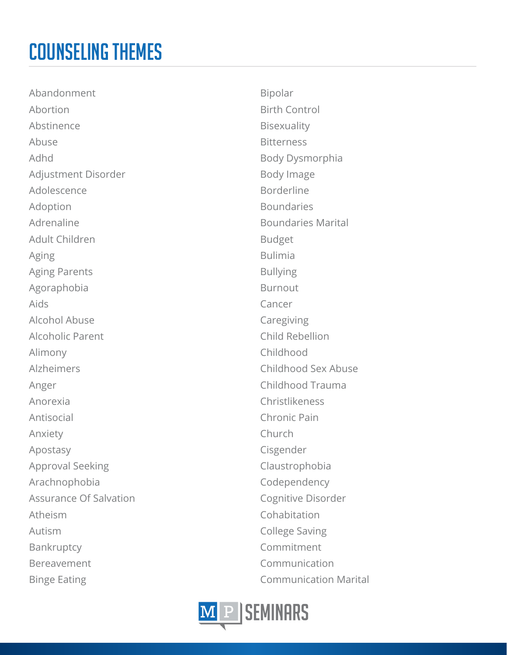Abandonment Abortion Abstinence Abuse Adhd Adjustment Disorder Adolescence Adoption Adrenaline Adult Children Aging Aging Parents Agoraphobia Aids Alcohol Abuse Alcoholic Parent Alimony Alzheimers Anger Anorexia Antisocial Anxiety Apostasy Approval Seeking Arachnophobia Assurance Of Salvation Atheism Autism Bankruptcy Bereavement Binge Eating

Bipolar Birth Control Bisexuality **Bitterness** Body Dysmorphia Body Image Borderline Boundaries Boundaries Marital Budget Bulimia Bullying Burnout Cancer Caregiving Child Rebellion Childhood Childhood Sex Abuse Childhood Trauma Christlikeness Chronic Pain Church Cisgender Claustrophobia Codependency Cognitive Disorder Cohabitation College Saving Commitment Communication Communication Marital

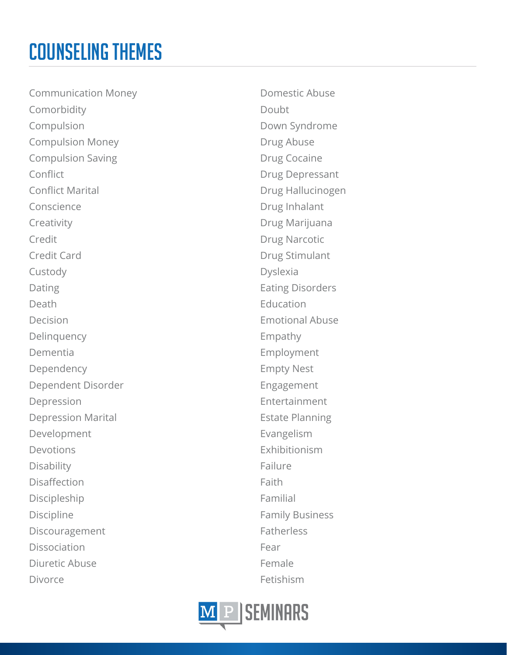Communication Money Comorbidity Compulsion Compulsion Money Compulsion Saving Conflict Conflict Marital Conscience Creativity Credit Credit Card Custody Dating Death Decision Delinquency Dementia Dependency Dependent Disorder Depression Depression Marital Development Devotions Disability Disaffection Discipleship Discipline Discouragement Dissociation Diuretic Abuse Divorce

Domestic Abuse Doubt Down Syndrome Drug Abuse Drug Cocaine Drug Depressant Drug Hallucinogen Drug Inhalant Drug Marijuana Drug Narcotic Drug Stimulant Dyslexia Eating Disorders **Education** Emotional Abuse Empathy Employment Empty Nest Engagement Entertainment Estate Planning Evangelism Exhibitionism Failure Faith Familial Family Business **Fatherless** Fear Female Fetishism

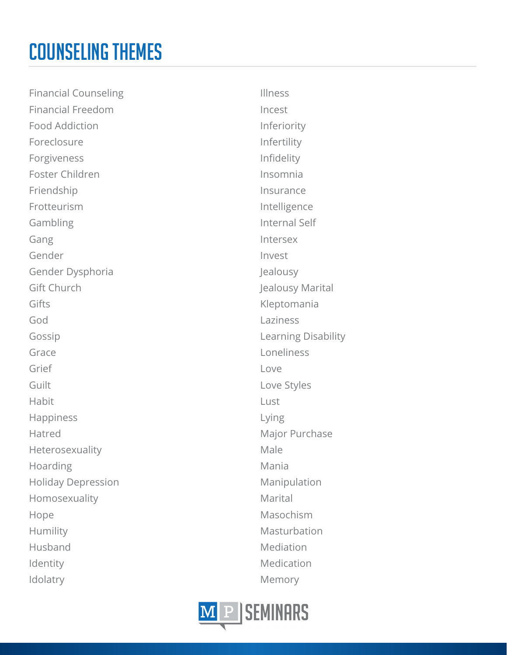Financial Counseling Financial Freedom Food Addiction Foreclosure Forgiveness Foster Children Friendship Frotteurism Gambling Gang Gender Gender Dysphoria Gift Church Gifts God Gossip Grace Grief **Guilt** Habit Happiness Hatred Heterosexuality Hoarding Holiday Depression Homosexuality Hope Humility Husband Identity Idolatry

Illness Incest Inferiority Infertility Infidelity Insomnia Insurance Intelligence Internal Self Intersex Invest Jealousy Jealousy Marital Kleptomania Laziness Learning Disability Loneliness Love Love Styles Lust Lying Major Purchase Male Mania Manipulation Marital Masochism Masturbation Mediation Medication Memory

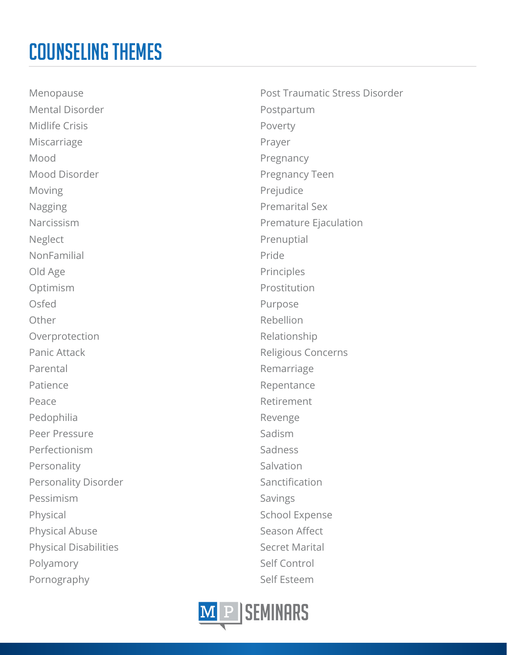Menopause Mental Disorder Midlife Crisis Miscarriage Mood Mood Disorder Moving Nagging Narcissism **Neglect** NonFamilial Old Age Optimism Osfed Other Overprotection Panic Attack Parental Patience Peace Pedophilia Peer Pressure Perfectionism Personality Personality Disorder Pessimism Physical Physical Abuse Physical Disabilities Polyamory Pornography

Post Traumatic Stress Disorder Postpartum Poverty Prayer Pregnancy Pregnancy Teen Prejudice Premarital Sex Premature Ejaculation Prenuptial Pride Principles Prostitution Purpose Rebellion Relationship Religious Concerns Remarriage Repentance Retirement Revenge Sadism Sadness Salvation Sanctification Savings School Expense Season Affect Secret Marital Self Control Self Esteem